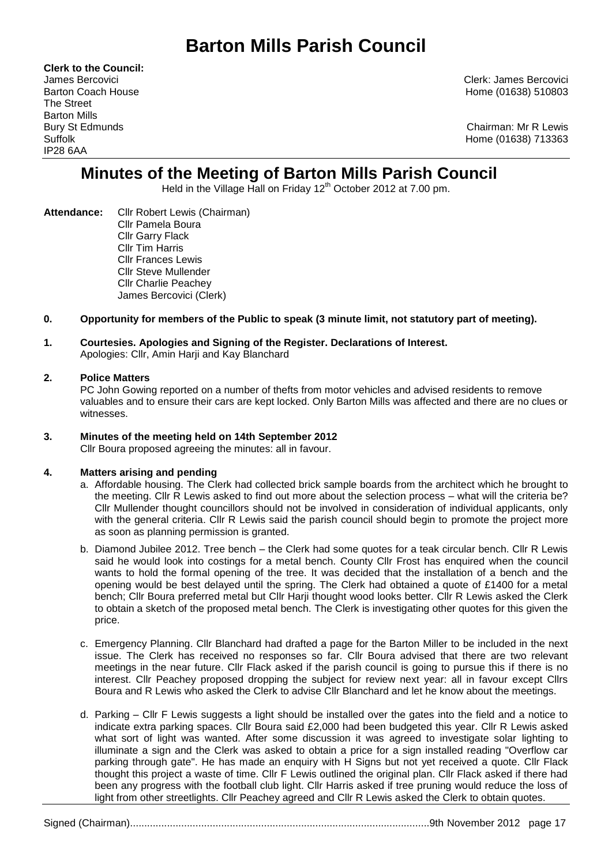# **Barton Mills Parish Council**

**Clerk to the Council:** The Street Barton Mills IP28 6AA

James Bercovici Clerk: James Bercovici Barton Coach House **Home (01638)** 510803

Bury St Edmunds Chairman: Mr R Lewis Suffolk Home (01638) 713363

## **Minutes of the Meeting of Barton Mills Parish Council**

Held in the Village Hall on Friday 12<sup>th</sup> October 2012 at 7.00 pm.

**Attendance:** Cllr Robert Lewis (Chairman) Cllr Pamela Boura Cllr Garry Flack Cllr Tim Harris Cllr Frances Lewis Cllr Steve Mullender Cllr Charlie Peachey James Bercovici (Clerk)

#### **0. Opportunity for members of the Public to speak (3 minute limit, not statutory part of meeting).**

#### **1. Courtesies. Apologies and Signing of the Register. Declarations of Interest.** Apologies: Cllr, Amin Harji and Kay Blanchard

#### **2. Police Matters**

PC John Gowing reported on a number of thefts from motor vehicles and advised residents to remove valuables and to ensure their cars are kept locked. Only Barton Mills was affected and there are no clues or witnesses.

### **3. Minutes of the meeting held on 14th September 2012**

Cllr Boura proposed agreeing the minutes: all in favour.

#### **4. Matters arising and pending**

- a. Affordable housing. The Clerk had collected brick sample boards from the architect which he brought to the meeting. Cllr R Lewis asked to find out more about the selection process – what will the criteria be? Cllr Mullender thought councillors should not be involved in consideration of individual applicants, only with the general criteria. Cllr R Lewis said the parish council should begin to promote the project more as soon as planning permission is granted.
- b. Diamond Jubilee 2012. Tree bench the Clerk had some quotes for a teak circular bench. Cllr R Lewis said he would look into costings for a metal bench. County Cllr Frost has enquired when the council wants to hold the formal opening of the tree. It was decided that the installation of a bench and the opening would be best delayed until the spring. The Clerk had obtained a quote of £1400 for a metal bench; Cllr Boura preferred metal but Cllr Harji thought wood looks better. Cllr R Lewis asked the Clerk to obtain a sketch of the proposed metal bench. The Clerk is investigating other quotes for this given the price.
- c. Emergency Planning. Cllr Blanchard had drafted a page for the Barton Miller to be included in the next issue. The Clerk has received no responses so far. Cllr Boura advised that there are two relevant meetings in the near future. Cllr Flack asked if the parish council is going to pursue this if there is no interest. Cllr Peachey proposed dropping the subject for review next year: all in favour except Cllrs Boura and R Lewis who asked the Clerk to advise Cllr Blanchard and let he know about the meetings.
- d. Parking Cllr F Lewis suggests a light should be installed over the gates into the field and a notice to indicate extra parking spaces. Cllr Boura said £2,000 had been budgeted this year. Cllr R Lewis asked what sort of light was wanted. After some discussion it was agreed to investigate solar lighting to illuminate a sign and the Clerk was asked to obtain a price for a sign installed reading "Overflow car parking through gate". He has made an enquiry with H Signs but not yet received a quote. Cllr Flack thought this project a waste of time. Cllr F Lewis outlined the original plan. Cllr Flack asked if there had been any progress with the football club light. Cllr Harris asked if tree pruning would reduce the loss of light from other streetlights. Cllr Peachey agreed and Cllr R Lewis asked the Clerk to obtain quotes.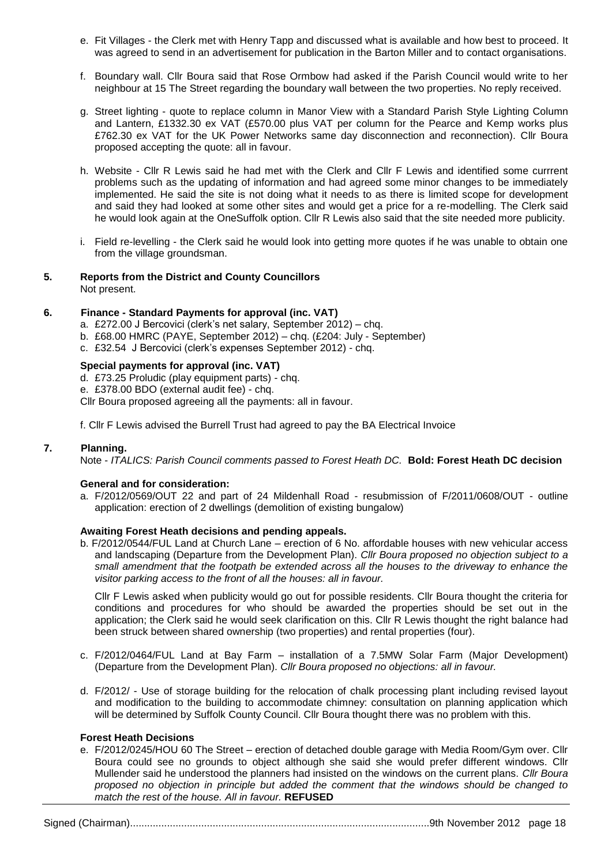- e. Fit Villages the Clerk met with Henry Tapp and discussed what is available and how best to proceed. It was agreed to send in an advertisement for publication in the Barton Miller and to contact organisations.
- f. Boundary wall. Cllr Boura said that Rose Ormbow had asked if the Parish Council would write to her neighbour at 15 The Street regarding the boundary wall between the two properties. No reply received.
- g. Street lighting quote to replace column in Manor View with a Standard Parish Style Lighting Column and Lantern, £1332.30 ex VAT (£570.00 plus VAT per column for the Pearce and Kemp works plus £762.30 ex VAT for the UK Power Networks same day disconnection and reconnection). Cllr Boura proposed accepting the quote: all in favour.
- h. Website Cllr R Lewis said he had met with the Clerk and Cllr F Lewis and identified some currrent problems such as the updating of information and had agreed some minor changes to be immediately implemented. He said the site is not doing what it needs to as there is limited scope for development and said they had looked at some other sites and would get a price for a re-modelling. The Clerk said he would look again at the OneSuffolk option. Cllr R Lewis also said that the site needed more publicity.
- i. Field re-levelling the Clerk said he would look into getting more quotes if he was unable to obtain one from the village groundsman.

#### **5. Reports from the District and County Councillors** Not present.

#### **6. Finance - Standard Payments for approval (inc. VAT)**

- a. £272.00 J Bercovici (clerk's net salary, September 2012) chq.
- b. £68.00 HMRC (PAYE, September 2012) chq. (£204: July September)
- c. £32.54 J Bercovici (clerk's expenses September 2012) chq.

#### **Special payments for approval (inc. VAT)**

- d. £73.25 Proludic (play equipment parts) chq.
- e. £378.00 BDO (external audit fee) chq.

Cllr Boura proposed agreeing all the payments: all in favour.

f. Cllr F Lewis advised the Burrell Trust had agreed to pay the BA Electrical Invoice

#### **7. Planning.**

Note - *ITALICS: Parish Council comments passed to Forest Heath DC.* **Bold: Forest Heath DC decision**

#### **General and for consideration:**

a. F/2012/0569/OUT 22 and part of 24 Mildenhall Road - resubmission of F/2011/0608/OUT - outline application: erection of 2 dwellings (demolition of existing bungalow)

#### **Awaiting Forest Heath decisions and pending appeals.**

b. F/2012/0544/FUL Land at Church Lane – erection of 6 No. affordable houses with new vehicular access and landscaping (Departure from the Development Plan). *Cllr Boura proposed no objection subject to a small amendment that the footpath be extended across all the houses to the driveway to enhance the visitor parking access to the front of all the houses: all in favour.*

Cllr F Lewis asked when publicity would go out for possible residents. Cllr Boura thought the criteria for conditions and procedures for who should be awarded the properties should be set out in the application; the Clerk said he would seek clarification on this. Cllr R Lewis thought the right balance had been struck between shared ownership (two properties) and rental properties (four).

- c. F/2012/0464/FUL Land at Bay Farm installation of a 7.5MW Solar Farm (Major Development) (Departure from the Development Plan). *Cllr Boura proposed no objections: all in favour.*
- d. F/2012/ Use of storage building for the relocation of chalk processing plant including revised layout and modification to the building to accommodate chimney: consultation on planning application which will be determined by Suffolk County Council. Cllr Boura thought there was no problem with this.

#### **Forest Heath Decisions**

e. F/2012/0245/HOU 60 The Street – erection of detached double garage with Media Room/Gym over. Cllr Boura could see no grounds to object although she said she would prefer different windows. Cllr Mullender said he understood the planners had insisted on the windows on the current plans. *Cllr Boura proposed no objection in principle but added the comment that the windows should be changed to match the rest of the house. All in favour.* **REFUSED**